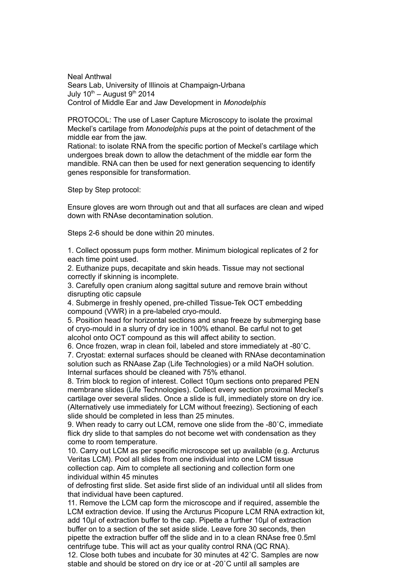Neal Anthwal Sears Lab, University of Illinois at Champaign-Urbana July  $10^{th}$  – August  $9^{th}$  2014 Control of Middle Ear and Jaw Development in *Monodelphis*

PROTOCOL: The use of Laser Capture Microscopy to isolate the proximal Meckel's cartilage from *Monodelphis* pups at the point of detachment of the middle ear from the jaw.

Rational: to isolate RNA from the specific portion of Meckel's cartilage which undergoes break down to allow the detachment of the middle ear form the mandible. RNA can then be used for next generation sequencing to identify genes responsible for transformation.

Step by Step protocol:

Ensure gloves are worn through out and that all surfaces are clean and wiped down with RNAse decontamination solution.

Steps 2-6 should be done within 20 minutes.

1. Collect opossum pups form mother. Minimum biological replicates of 2 for each time point used.

2. Euthanize pups, decapitate and skin heads. Tissue may not sectional correctly if skinning is incomplete.

3. Carefully open cranium along sagittal suture and remove brain without disrupting otic capsule

4. Submerge in freshly opened, pre-chilled Tissue-Tek OCT embedding compound (VWR) in a pre-labeled cryo-mould.

5. Position head for horizontal sections and snap freeze by submerging base of cryo-mould in a slurry of dry ice in 100% ethanol. Be carful not to get alcohol onto OCT compound as this will affect ability to section.

6. Once frozen, wrap in clean foil, labeled and store immediately at -80˚C.

7. Cryostat: external surfaces should be cleaned with RNAse decontamination solution such as RNAase Zap (Life Technologies) or a mild NaOH solution. Internal surfaces should be cleaned with 75% ethanol.

8. Trim block to region of interest. Collect 10µm sections onto prepared PEN membrane slides (Life Technologies). Collect every section proximal Meckel's cartilage over several slides. Once a slide is full, immediately store on dry ice. (Alternatively use immediately for LCM without freezing). Sectioning of each slide should be completed in less than 25 minutes.

9. When ready to carry out LCM, remove one slide from the -80˚C, immediate flick dry slide to that samples do not become wet with condensation as they come to room temperature.

10. Carry out LCM as per specific microscope set up available (e.g. Arcturus Veritas LCM). Pool all slides from one individual into one LCM tissue collection cap. Aim to complete all sectioning and collection form one individual within 45 minutes

of defrosting first slide. Set aside first slide of an individual until all slides from that individual have been captured.

11. Remove the LCM cap form the microscope and if required, assemble the LCM extraction device. If using the Arcturus Picopure LCM RNA extraction kit, add 10µl of extraction buffer to the cap. Pipette a further 10µl of extraction buffer on to a section of the set aside slide. Leave fore 30 seconds, then pipette the extraction buffer off the slide and in to a clean RNAse free 0.5ml centrifuge tube. This will act as your quality control RNA (QC RNA).

12. Close both tubes and incubate for 30 minutes at 42˚C. Samples are now stable and should be stored on dry ice or at -20˚C until all samples are